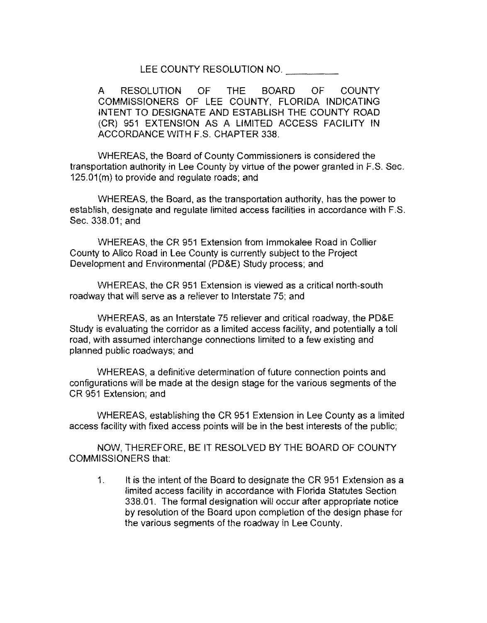## LEE COUNTY RESOLUTION NO.

A RESOLUTION OF THE BOARD OF COUNTY COMMISSIONERS OF LEE COUNTY, FLORIDA INDICATING INTENT TO DESIGNATE AND ESTABLISH THE COUNTY ROAD (CR) 951 EXTENSION AS A LIMITED ACCESS FACILITY IN ACCORDANCE WITH F.S. CHAPTER 338.

WHEREAS, the Board of County Commissioners is considered the transportation authority in Lee County by virtue of the power granted in F.S. Sec. 125.01(m) to provide and regulate roads; and

WHEREAS, the Board, as the transportation authority, has the power to establish, designate and regulate limited access facilities in accordance with F.S. Sec. 338.01; and

WHEREAS, the CR 951 Extension from lmmokalee Road in Collier County to Alico Road in Lee County is currently subject to the Project Development and Environmental (PD&E) Study process; and

WHEREAS, the CR 951 Extension is viewed as a critical north-south roadway that will serve as a reliever to Interstate 75; and

WHEREAS, as an Interstate 75 reliever and critical roadway, the PD&E Study is evaluating the corridor as a limited access facility, and potentially a toll road, with assumed interchange connections limited to a few existing and planned public roadways; and

WHEREAS, a definitive determination of future connection points and configurations will be made at the design stage for the various segments of the CR 951 Extension; and

WHEREAS, establishing the CR 951 Extension in Lee County as a limited access facility with fixed access points will be in the best interests of the public;

NOW, THEREFORE, BE IT RESOLVED BY THE BOARD OF COUNTY COMMISSIONERS that:

1. It is the intent of the Board to designate the CR 951 Extension as a limited access facility in accordance with Florida Statutes Section 338.01. The formal designation will occur after appropriate notice by resolution of the Board upon completion of the design phase for the various segments of the roadway in Lee County.